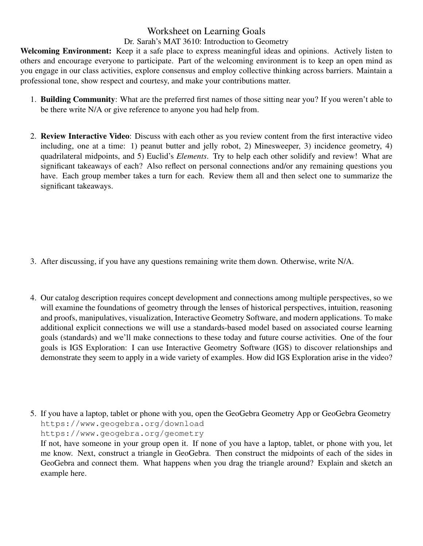## Worksheet on Learning Goals

## Dr. Sarah's MAT 3610: Introduction to Geometry

Welcoming Environment: Keep it a safe place to express meaningful ideas and opinions. Actively listen to others and encourage everyone to participate. Part of the welcoming environment is to keep an open mind as you engage in our class activities, explore consensus and employ collective thinking across barriers. Maintain a professional tone, show respect and courtesy, and make your contributions matter.

- 1. Building Community: What are the preferred first names of those sitting near you? If you weren't able to be there write N/A or give reference to anyone you had help from.
- 2. Review Interactive Video: Discuss with each other as you review content from the first interactive video including, one at a time: 1) peanut butter and jelly robot, 2) Minesweeper, 3) incidence geometry, 4) quadrilateral midpoints, and 5) Euclid's *Elements*. Try to help each other solidify and review! What are significant takeaways of each? Also reflect on personal connections and/or any remaining questions you have. Each group member takes a turn for each. Review them all and then select one to summarize the significant takeaways.

- 3. After discussing, if you have any questions remaining write them down. Otherwise, write N/A.
- 4. Our catalog description requires concept development and connections among multiple perspectives, so we will examine the foundations of geometry through the lenses of historical perspectives, intuition, reasoning and proofs, manipulatives, visualization, Interactive Geometry Software, and modern applications. To make additional explicit connections we will use a standards-based model based on associated course learning goals (standards) and we'll make connections to these today and future course activities. One of the four goals is IGS Exploration: I can use Interactive Geometry Software (IGS) to discover relationships and demonstrate they seem to apply in a wide variety of examples. How did IGS Exploration arise in the video?
- 5. If you have a laptop, tablet or phone with you, open the GeoGebra Geometry App or GeoGebra Geometry https://www.geogebra.org/download https://www.geogebra.org/geometry If not, have someone in your group open it. If none of you have a laptop, tablet, or phone with you, let

me know. Next, construct a triangle in GeoGebra. Then construct the midpoints of each of the sides in GeoGebra and connect them. What happens when you drag the triangle around? Explain and sketch an example here.